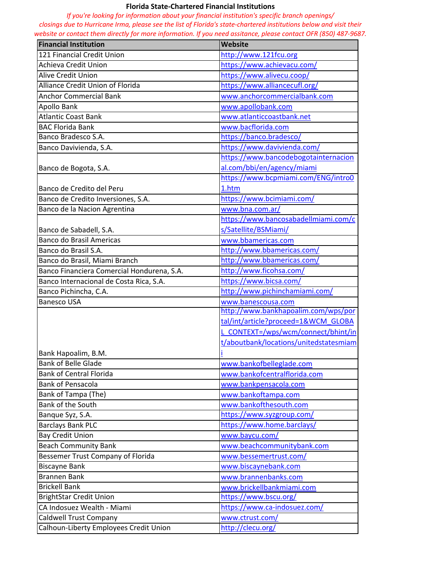## **Florida State-Chartered Financial Institutions**

*If you're looking for information about your financial institution's specific branch openings/ closings due to Hurricane Irma, please see the list of Florida's state-chartered institutions below and visit their website or contact them directly for more information. If you need assitance, please contact OFR (850) 487-9687.* 

| <b>Financial Institution</b>               | <b>Website</b>                         |
|--------------------------------------------|----------------------------------------|
| 121 Financial Credit Union                 | http://www.121fcu.org                  |
| Achieva Credit Union                       | https://www.achievacu.com/             |
| <b>Alive Credit Union</b>                  | https://www.alivecu.coop/              |
| <b>Alliance Credit Union of Florida</b>    | https://www.alliancecufl.org/          |
| <b>Anchor Commercial Bank</b>              | www.anchorcommercialbank.com           |
| Apollo Bank                                | www.apollobank.com                     |
| <b>Atlantic Coast Bank</b>                 | www.atlanticcoastbank.net              |
| <b>BAC Florida Bank</b>                    | www.bacflorida.com                     |
| Banco Bradesco S.A.                        | https://banco.bradesco/                |
| Banco Davivienda, S.A.                     | https://www.davivienda.com/            |
|                                            | https://www.bancodebogotainternacion   |
| Banco de Bogota, S.A.                      | al.com/bbi/en/agency/miami             |
|                                            | https://www.bcpmiami.com/ENG/intro0    |
| Banco de Credito del Peru                  | 1.htm                                  |
| Banco de Credito Inversiones, S.A.         | https://www.bcimiami.com/              |
| Banco de la Nacion Agrentina               | www.bna.com.ar/                        |
|                                            | https://www.bancosabadellmiami.com/c   |
| Banco de Sabadell, S.A.                    | s/Satellite/BSMiami/                   |
| <b>Banco do Brasil Americas</b>            | www.bbamericas.com                     |
| Banco do Brasil S.A.                       | http://www.bbamericas.com/             |
| Banco do Brasil, Miami Branch              | http://www.bbamericas.com/             |
| Banco Financiera Comercial Hondurena, S.A. | http://www.ficohsa.com/                |
| Banco Internacional de Costa Rica, S.A.    | https://www.bicsa.com/                 |
| Banco Pichincha, C.A.                      | http://www.pichinchamiami.com/         |
| <b>Banesco USA</b>                         | www.banescousa.com                     |
|                                            | http://www.bankhapoalim.com/wps/por    |
|                                            | tal/int/article?proceed=1&WCM GLOBA    |
|                                            | L CONTEXT=/wps/wcm/connect/bhint/in    |
|                                            | t/aboutbank/locations/unitedstatesmiam |
| Bank Hapoalim, B.M.                        |                                        |
| <b>Bank of Belle Glade</b>                 | www.bankofbelleglade.com               |
| <b>Bank of Central Florida</b>             | www.bankofcentralflorida.com           |
| <b>Bank of Pensacola</b>                   | www.bankpensacola.com                  |
| Bank of Tampa (The)                        | www.bankoftampa.com                    |
| Bank of the South                          | www.bankofthesouth.com                 |
| Banque Syz, S.A.                           | https://www.syzgroup.com/              |
| <b>Barclays Bank PLC</b>                   | https://www.home.barclays/             |
| <b>Bay Credit Union</b>                    | www.baycu.com/                         |
| <b>Beach Community Bank</b>                | www.beachcommunitybank.com             |
| Bessemer Trust Company of Florida          | www.bessemertrust.com/                 |
| <b>Biscayne Bank</b>                       | www.biscaynebank.com                   |
| <b>Brannen Bank</b>                        | www.brannenbanks.com                   |
| <b>Brickell Bank</b>                       | www.brickellbankmiami.com              |
| <b>BrightStar Credit Union</b>             | https://www.bscu.org/                  |
| CA Indosuez Wealth - Miami                 | https://www.ca-indosuez.com/           |
| Caldwell Trust Company                     | www.ctrust.com/                        |
| Calhoun-Liberty Employees Credit Union     | http://clecu.org/                      |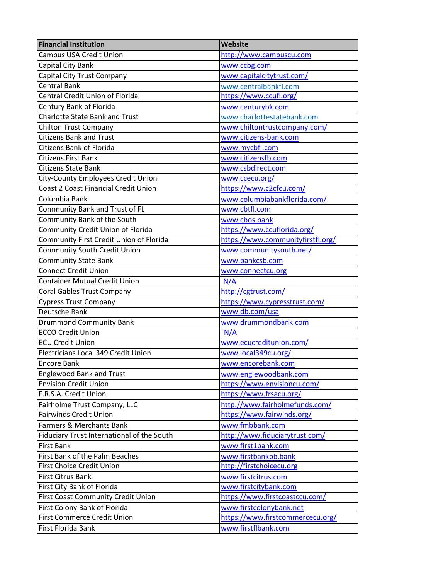| <b>Financial Institution</b>                | Website                           |
|---------------------------------------------|-----------------------------------|
| <b>Campus USA Credit Union</b>              | http://www.campuscu.com           |
| Capital City Bank                           | www.ccbg.com                      |
| Capital City Trust Company                  | www.capitalcitytrust.com/         |
| <b>Central Bank</b>                         | www.centralbankfl.com             |
| <b>Central Credit Union of Florida</b>      | https://www.ccufl.org/            |
| Century Bank of Florida                     | www.centurybk.com                 |
| Charlotte State Bank and Trust              | www.charlottestatebank.com        |
| <b>Chilton Trust Company</b>                | www.chiltontrustcompany.com/      |
| <b>Citizens Bank and Trust</b>              | www.citizens-bank.com             |
| <b>Citizens Bank of Florida</b>             | www.mycbfl.com                    |
| <b>Citizens First Bank</b>                  | www.citizensfb.com                |
| <b>Citizens State Bank</b>                  | www.csbdirect.com                 |
| City-County Employees Credit Union          | www.ccecu.org/                    |
| <b>Coast 2 Coast Financial Credit Union</b> | https://www.c2cfcu.com/           |
| Columbia Bank                               | www.columbiabankflorida.com/      |
| Community Bank and Trust of FL              | www.cbtfl.com                     |
| Community Bank of the South                 | www.cbos.bank                     |
| Community Credit Union of Florida           | https://www.ccuflorida.org/       |
| Community First Credit Union of Florida     | https://www.communityfirstfl.org/ |
| <b>Community South Credit Union</b>         | www.communitysouth.net/           |
| <b>Community State Bank</b>                 | www.bankcsb.com                   |
| <b>Connect Credit Union</b>                 | www.connectcu.org                 |
| <b>Container Mutual Credit Union</b>        | N/A                               |
| <b>Coral Gables Trust Company</b>           | http://cgtrust.com/               |
| <b>Cypress Trust Company</b>                | https://www.cypresstrust.com/     |
| Deutsche Bank                               | www.db.com/usa                    |
| <b>Drummond Community Bank</b>              | www.drummondbank.com              |
| <b>ECCO Credit Union</b>                    | N/A                               |
| <b>ECU Credit Union</b>                     | www.ecucreditunion.com/           |
| Electricians Local 349 Credit Union         | www.local349cu.org/               |
| <b>Encore Bank</b>                          | www.encorebank.com                |
| <b>Englewood Bank and Trust</b>             | www.englewoodbank.com             |
| <b>Envision Credit Union</b>                | https://www.envisioncu.com/       |
| F.R.S.A. Credit Union                       | https://www.frsacu.org/           |
| Fairholme Trust Company, LLC                | http://www.fairholmefunds.com/    |
| <b>Fairwinds Credit Union</b>               | https://www.fairwinds.org/        |
| Farmers & Merchants Bank                    | www.fmbbank.com                   |
| Fiduciary Trust International of the South  | http://www.fiduciarytrust.com/    |
| <b>First Bank</b>                           | www.first1bank.com                |
| First Bank of the Palm Beaches              | www.firstbankpb.bank              |
| First Choice Credit Union                   | http://firstchoicecu.org          |
| <b>First Citrus Bank</b>                    | www.firstcitrus.com               |
| First City Bank of Florida                  | www.firstcitybank.com             |
| First Coast Community Credit Union          | https://www.firstcoastccu.com/    |
| First Colony Bank of Florida                | www.firstcolonybank.net           |
| <b>First Commerce Credit Union</b>          | https://www.firstcommercecu.org/  |
| First Florida Bank                          | www.firstflbank.com               |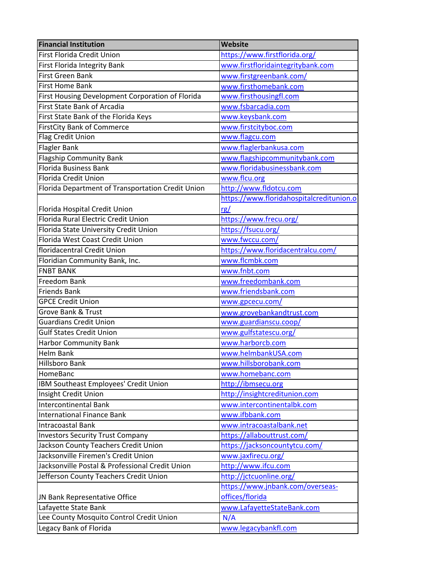| https://www.floridahospitalcreditunion.o |
|------------------------------------------|
|                                          |
|                                          |
|                                          |
|                                          |
|                                          |
|                                          |
|                                          |
|                                          |
|                                          |
|                                          |
|                                          |
|                                          |
|                                          |
|                                          |
|                                          |
|                                          |
|                                          |
|                                          |
|                                          |
|                                          |
|                                          |
|                                          |
|                                          |
|                                          |
|                                          |
|                                          |
|                                          |
|                                          |
|                                          |
|                                          |
|                                          |
|                                          |
|                                          |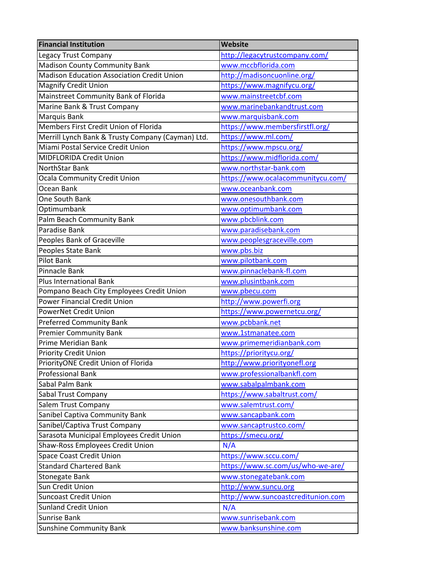| http://legacytrustcompany.com/<br><b>Madison County Community Bank</b><br>www.mccbflorida.com<br><b>Madison Education Association Credit Union</b><br>http://madisoncuonline.org/<br><b>Magnify Credit Union</b><br>https://www.magnifycu.org/<br>Mainstreet Community Bank of Florida<br>www.mainstreetcbf.com<br>Marine Bank & Trust Company<br>www.marinebankandtrust.com<br>Marquis Bank<br>www.marquisbank.com<br>Members First Credit Union of Florida<br>https://www.membersfirstfl.org/<br>https://www.ml.com/<br>Merrill Lynch Bank & Trusty Company (Cayman) Ltd.<br>Miami Postal Service Credit Union<br>https://www.mpscu.org/<br>MIDFLORIDA Credit Union<br>https://www.midflorida.com/<br>www.northstar-bank.com<br>NorthStar Bank<br><b>Ocala Community Credit Union</b><br>https://www.ocalacommunitycu.com/<br>Ocean Bank<br>www.oceanbank.com<br>One South Bank<br>www.onesouthbank.com<br>Optimumbank<br>www.optimumbank.com<br>Palm Beach Community Bank<br>www.pbcblink.com<br>Paradise Bank<br>www.paradisebank.com<br>Peoples Bank of Graceville<br>www.peoplesgraceville.com<br>Peoples State Bank<br>www.pbs.biz<br>Pilot Bank<br>www.pilotbank.com<br><b>Pinnacle Bank</b><br>www.pinnaclebank-fl.com<br><b>Plus International Bank</b><br>www.plusintbank.com<br>Pompano Beach City Employees Credit Union<br>www.pbecu.com<br><b>Power Financial Credit Union</b><br>http://www.powerfi.org<br>PowerNet Credit Union<br>https://www.powernetcu.org/<br>www.pcbbank.net<br><b>Premier Community Bank</b><br>www.1stmanatee.com<br>Prime Meridian Bank<br>www.primemeridianbank.com<br>https://prioritycu.org/<br>PriorityONE Credit Union of Florida<br>http://www.priorityonefl.org<br><b>Professional Bank</b><br>www.professionalbankfl.com<br>Sabal Palm Bank<br>www.sabalpalmbank.com<br>https://www.sabaltrust.com/<br>Sabal Trust Company<br>Salem Trust Company<br>www.salemtrust.com/<br>Sanibel Captiva Community Bank<br>www.sancapbank.com<br>Sanibel/Captiva Trust Company<br>www.sancaptrustco.com/<br>Sarasota Municipal Employees Credit Union<br>https://smecu.org/<br>Shaw-Ross Employees Credit Union<br>N/A<br><b>Space Coast Credit Union</b><br>https://www.sccu.com/<br>https://www.sc.com/us/who-we-are/<br><b>Standard Chartered Bank</b> | <b>Financial Institution</b>    | Website               |
|-----------------------------------------------------------------------------------------------------------------------------------------------------------------------------------------------------------------------------------------------------------------------------------------------------------------------------------------------------------------------------------------------------------------------------------------------------------------------------------------------------------------------------------------------------------------------------------------------------------------------------------------------------------------------------------------------------------------------------------------------------------------------------------------------------------------------------------------------------------------------------------------------------------------------------------------------------------------------------------------------------------------------------------------------------------------------------------------------------------------------------------------------------------------------------------------------------------------------------------------------------------------------------------------------------------------------------------------------------------------------------------------------------------------------------------------------------------------------------------------------------------------------------------------------------------------------------------------------------------------------------------------------------------------------------------------------------------------------------------------------------------------------------------------------------------------------------------------------------------------------------------------------------------------------------------------------------------------------------------------------------------------------------------------------------------------------------------------------------------------------------------------------------------------------------------------------------------------------------------------------------------------------------------------------|---------------------------------|-----------------------|
|                                                                                                                                                                                                                                                                                                                                                                                                                                                                                                                                                                                                                                                                                                                                                                                                                                                                                                                                                                                                                                                                                                                                                                                                                                                                                                                                                                                                                                                                                                                                                                                                                                                                                                                                                                                                                                                                                                                                                                                                                                                                                                                                                                                                                                                                                               | <b>Legacy Trust Company</b>     |                       |
|                                                                                                                                                                                                                                                                                                                                                                                                                                                                                                                                                                                                                                                                                                                                                                                                                                                                                                                                                                                                                                                                                                                                                                                                                                                                                                                                                                                                                                                                                                                                                                                                                                                                                                                                                                                                                                                                                                                                                                                                                                                                                                                                                                                                                                                                                               |                                 |                       |
|                                                                                                                                                                                                                                                                                                                                                                                                                                                                                                                                                                                                                                                                                                                                                                                                                                                                                                                                                                                                                                                                                                                                                                                                                                                                                                                                                                                                                                                                                                                                                                                                                                                                                                                                                                                                                                                                                                                                                                                                                                                                                                                                                                                                                                                                                               |                                 |                       |
|                                                                                                                                                                                                                                                                                                                                                                                                                                                                                                                                                                                                                                                                                                                                                                                                                                                                                                                                                                                                                                                                                                                                                                                                                                                                                                                                                                                                                                                                                                                                                                                                                                                                                                                                                                                                                                                                                                                                                                                                                                                                                                                                                                                                                                                                                               |                                 |                       |
|                                                                                                                                                                                                                                                                                                                                                                                                                                                                                                                                                                                                                                                                                                                                                                                                                                                                                                                                                                                                                                                                                                                                                                                                                                                                                                                                                                                                                                                                                                                                                                                                                                                                                                                                                                                                                                                                                                                                                                                                                                                                                                                                                                                                                                                                                               |                                 |                       |
|                                                                                                                                                                                                                                                                                                                                                                                                                                                                                                                                                                                                                                                                                                                                                                                                                                                                                                                                                                                                                                                                                                                                                                                                                                                                                                                                                                                                                                                                                                                                                                                                                                                                                                                                                                                                                                                                                                                                                                                                                                                                                                                                                                                                                                                                                               |                                 |                       |
|                                                                                                                                                                                                                                                                                                                                                                                                                                                                                                                                                                                                                                                                                                                                                                                                                                                                                                                                                                                                                                                                                                                                                                                                                                                                                                                                                                                                                                                                                                                                                                                                                                                                                                                                                                                                                                                                                                                                                                                                                                                                                                                                                                                                                                                                                               |                                 |                       |
|                                                                                                                                                                                                                                                                                                                                                                                                                                                                                                                                                                                                                                                                                                                                                                                                                                                                                                                                                                                                                                                                                                                                                                                                                                                                                                                                                                                                                                                                                                                                                                                                                                                                                                                                                                                                                                                                                                                                                                                                                                                                                                                                                                                                                                                                                               |                                 |                       |
|                                                                                                                                                                                                                                                                                                                                                                                                                                                                                                                                                                                                                                                                                                                                                                                                                                                                                                                                                                                                                                                                                                                                                                                                                                                                                                                                                                                                                                                                                                                                                                                                                                                                                                                                                                                                                                                                                                                                                                                                                                                                                                                                                                                                                                                                                               |                                 |                       |
|                                                                                                                                                                                                                                                                                                                                                                                                                                                                                                                                                                                                                                                                                                                                                                                                                                                                                                                                                                                                                                                                                                                                                                                                                                                                                                                                                                                                                                                                                                                                                                                                                                                                                                                                                                                                                                                                                                                                                                                                                                                                                                                                                                                                                                                                                               |                                 |                       |
|                                                                                                                                                                                                                                                                                                                                                                                                                                                                                                                                                                                                                                                                                                                                                                                                                                                                                                                                                                                                                                                                                                                                                                                                                                                                                                                                                                                                                                                                                                                                                                                                                                                                                                                                                                                                                                                                                                                                                                                                                                                                                                                                                                                                                                                                                               |                                 |                       |
|                                                                                                                                                                                                                                                                                                                                                                                                                                                                                                                                                                                                                                                                                                                                                                                                                                                                                                                                                                                                                                                                                                                                                                                                                                                                                                                                                                                                                                                                                                                                                                                                                                                                                                                                                                                                                                                                                                                                                                                                                                                                                                                                                                                                                                                                                               |                                 |                       |
|                                                                                                                                                                                                                                                                                                                                                                                                                                                                                                                                                                                                                                                                                                                                                                                                                                                                                                                                                                                                                                                                                                                                                                                                                                                                                                                                                                                                                                                                                                                                                                                                                                                                                                                                                                                                                                                                                                                                                                                                                                                                                                                                                                                                                                                                                               |                                 |                       |
|                                                                                                                                                                                                                                                                                                                                                                                                                                                                                                                                                                                                                                                                                                                                                                                                                                                                                                                                                                                                                                                                                                                                                                                                                                                                                                                                                                                                                                                                                                                                                                                                                                                                                                                                                                                                                                                                                                                                                                                                                                                                                                                                                                                                                                                                                               |                                 |                       |
|                                                                                                                                                                                                                                                                                                                                                                                                                                                                                                                                                                                                                                                                                                                                                                                                                                                                                                                                                                                                                                                                                                                                                                                                                                                                                                                                                                                                                                                                                                                                                                                                                                                                                                                                                                                                                                                                                                                                                                                                                                                                                                                                                                                                                                                                                               |                                 |                       |
|                                                                                                                                                                                                                                                                                                                                                                                                                                                                                                                                                                                                                                                                                                                                                                                                                                                                                                                                                                                                                                                                                                                                                                                                                                                                                                                                                                                                                                                                                                                                                                                                                                                                                                                                                                                                                                                                                                                                                                                                                                                                                                                                                                                                                                                                                               |                                 |                       |
|                                                                                                                                                                                                                                                                                                                                                                                                                                                                                                                                                                                                                                                                                                                                                                                                                                                                                                                                                                                                                                                                                                                                                                                                                                                                                                                                                                                                                                                                                                                                                                                                                                                                                                                                                                                                                                                                                                                                                                                                                                                                                                                                                                                                                                                                                               |                                 |                       |
|                                                                                                                                                                                                                                                                                                                                                                                                                                                                                                                                                                                                                                                                                                                                                                                                                                                                                                                                                                                                                                                                                                                                                                                                                                                                                                                                                                                                                                                                                                                                                                                                                                                                                                                                                                                                                                                                                                                                                                                                                                                                                                                                                                                                                                                                                               |                                 |                       |
|                                                                                                                                                                                                                                                                                                                                                                                                                                                                                                                                                                                                                                                                                                                                                                                                                                                                                                                                                                                                                                                                                                                                                                                                                                                                                                                                                                                                                                                                                                                                                                                                                                                                                                                                                                                                                                                                                                                                                                                                                                                                                                                                                                                                                                                                                               |                                 |                       |
|                                                                                                                                                                                                                                                                                                                                                                                                                                                                                                                                                                                                                                                                                                                                                                                                                                                                                                                                                                                                                                                                                                                                                                                                                                                                                                                                                                                                                                                                                                                                                                                                                                                                                                                                                                                                                                                                                                                                                                                                                                                                                                                                                                                                                                                                                               |                                 |                       |
|                                                                                                                                                                                                                                                                                                                                                                                                                                                                                                                                                                                                                                                                                                                                                                                                                                                                                                                                                                                                                                                                                                                                                                                                                                                                                                                                                                                                                                                                                                                                                                                                                                                                                                                                                                                                                                                                                                                                                                                                                                                                                                                                                                                                                                                                                               |                                 |                       |
|                                                                                                                                                                                                                                                                                                                                                                                                                                                                                                                                                                                                                                                                                                                                                                                                                                                                                                                                                                                                                                                                                                                                                                                                                                                                                                                                                                                                                                                                                                                                                                                                                                                                                                                                                                                                                                                                                                                                                                                                                                                                                                                                                                                                                                                                                               |                                 |                       |
|                                                                                                                                                                                                                                                                                                                                                                                                                                                                                                                                                                                                                                                                                                                                                                                                                                                                                                                                                                                                                                                                                                                                                                                                                                                                                                                                                                                                                                                                                                                                                                                                                                                                                                                                                                                                                                                                                                                                                                                                                                                                                                                                                                                                                                                                                               |                                 |                       |
|                                                                                                                                                                                                                                                                                                                                                                                                                                                                                                                                                                                                                                                                                                                                                                                                                                                                                                                                                                                                                                                                                                                                                                                                                                                                                                                                                                                                                                                                                                                                                                                                                                                                                                                                                                                                                                                                                                                                                                                                                                                                                                                                                                                                                                                                                               |                                 |                       |
|                                                                                                                                                                                                                                                                                                                                                                                                                                                                                                                                                                                                                                                                                                                                                                                                                                                                                                                                                                                                                                                                                                                                                                                                                                                                                                                                                                                                                                                                                                                                                                                                                                                                                                                                                                                                                                                                                                                                                                                                                                                                                                                                                                                                                                                                                               |                                 |                       |
|                                                                                                                                                                                                                                                                                                                                                                                                                                                                                                                                                                                                                                                                                                                                                                                                                                                                                                                                                                                                                                                                                                                                                                                                                                                                                                                                                                                                                                                                                                                                                                                                                                                                                                                                                                                                                                                                                                                                                                                                                                                                                                                                                                                                                                                                                               |                                 |                       |
|                                                                                                                                                                                                                                                                                                                                                                                                                                                                                                                                                                                                                                                                                                                                                                                                                                                                                                                                                                                                                                                                                                                                                                                                                                                                                                                                                                                                                                                                                                                                                                                                                                                                                                                                                                                                                                                                                                                                                                                                                                                                                                                                                                                                                                                                                               | <b>Preferred Community Bank</b> |                       |
|                                                                                                                                                                                                                                                                                                                                                                                                                                                                                                                                                                                                                                                                                                                                                                                                                                                                                                                                                                                                                                                                                                                                                                                                                                                                                                                                                                                                                                                                                                                                                                                                                                                                                                                                                                                                                                                                                                                                                                                                                                                                                                                                                                                                                                                                                               |                                 |                       |
|                                                                                                                                                                                                                                                                                                                                                                                                                                                                                                                                                                                                                                                                                                                                                                                                                                                                                                                                                                                                                                                                                                                                                                                                                                                                                                                                                                                                                                                                                                                                                                                                                                                                                                                                                                                                                                                                                                                                                                                                                                                                                                                                                                                                                                                                                               |                                 |                       |
|                                                                                                                                                                                                                                                                                                                                                                                                                                                                                                                                                                                                                                                                                                                                                                                                                                                                                                                                                                                                                                                                                                                                                                                                                                                                                                                                                                                                                                                                                                                                                                                                                                                                                                                                                                                                                                                                                                                                                                                                                                                                                                                                                                                                                                                                                               | <b>Priority Credit Union</b>    |                       |
|                                                                                                                                                                                                                                                                                                                                                                                                                                                                                                                                                                                                                                                                                                                                                                                                                                                                                                                                                                                                                                                                                                                                                                                                                                                                                                                                                                                                                                                                                                                                                                                                                                                                                                                                                                                                                                                                                                                                                                                                                                                                                                                                                                                                                                                                                               |                                 |                       |
|                                                                                                                                                                                                                                                                                                                                                                                                                                                                                                                                                                                                                                                                                                                                                                                                                                                                                                                                                                                                                                                                                                                                                                                                                                                                                                                                                                                                                                                                                                                                                                                                                                                                                                                                                                                                                                                                                                                                                                                                                                                                                                                                                                                                                                                                                               |                                 |                       |
|                                                                                                                                                                                                                                                                                                                                                                                                                                                                                                                                                                                                                                                                                                                                                                                                                                                                                                                                                                                                                                                                                                                                                                                                                                                                                                                                                                                                                                                                                                                                                                                                                                                                                                                                                                                                                                                                                                                                                                                                                                                                                                                                                                                                                                                                                               |                                 |                       |
|                                                                                                                                                                                                                                                                                                                                                                                                                                                                                                                                                                                                                                                                                                                                                                                                                                                                                                                                                                                                                                                                                                                                                                                                                                                                                                                                                                                                                                                                                                                                                                                                                                                                                                                                                                                                                                                                                                                                                                                                                                                                                                                                                                                                                                                                                               |                                 |                       |
|                                                                                                                                                                                                                                                                                                                                                                                                                                                                                                                                                                                                                                                                                                                                                                                                                                                                                                                                                                                                                                                                                                                                                                                                                                                                                                                                                                                                                                                                                                                                                                                                                                                                                                                                                                                                                                                                                                                                                                                                                                                                                                                                                                                                                                                                                               |                                 |                       |
|                                                                                                                                                                                                                                                                                                                                                                                                                                                                                                                                                                                                                                                                                                                                                                                                                                                                                                                                                                                                                                                                                                                                                                                                                                                                                                                                                                                                                                                                                                                                                                                                                                                                                                                                                                                                                                                                                                                                                                                                                                                                                                                                                                                                                                                                                               |                                 |                       |
|                                                                                                                                                                                                                                                                                                                                                                                                                                                                                                                                                                                                                                                                                                                                                                                                                                                                                                                                                                                                                                                                                                                                                                                                                                                                                                                                                                                                                                                                                                                                                                                                                                                                                                                                                                                                                                                                                                                                                                                                                                                                                                                                                                                                                                                                                               |                                 |                       |
|                                                                                                                                                                                                                                                                                                                                                                                                                                                                                                                                                                                                                                                                                                                                                                                                                                                                                                                                                                                                                                                                                                                                                                                                                                                                                                                                                                                                                                                                                                                                                                                                                                                                                                                                                                                                                                                                                                                                                                                                                                                                                                                                                                                                                                                                                               |                                 |                       |
|                                                                                                                                                                                                                                                                                                                                                                                                                                                                                                                                                                                                                                                                                                                                                                                                                                                                                                                                                                                                                                                                                                                                                                                                                                                                                                                                                                                                                                                                                                                                                                                                                                                                                                                                                                                                                                                                                                                                                                                                                                                                                                                                                                                                                                                                                               |                                 |                       |
|                                                                                                                                                                                                                                                                                                                                                                                                                                                                                                                                                                                                                                                                                                                                                                                                                                                                                                                                                                                                                                                                                                                                                                                                                                                                                                                                                                                                                                                                                                                                                                                                                                                                                                                                                                                                                                                                                                                                                                                                                                                                                                                                                                                                                                                                                               |                                 |                       |
|                                                                                                                                                                                                                                                                                                                                                                                                                                                                                                                                                                                                                                                                                                                                                                                                                                                                                                                                                                                                                                                                                                                                                                                                                                                                                                                                                                                                                                                                                                                                                                                                                                                                                                                                                                                                                                                                                                                                                                                                                                                                                                                                                                                                                                                                                               |                                 |                       |
|                                                                                                                                                                                                                                                                                                                                                                                                                                                                                                                                                                                                                                                                                                                                                                                                                                                                                                                                                                                                                                                                                                                                                                                                                                                                                                                                                                                                                                                                                                                                                                                                                                                                                                                                                                                                                                                                                                                                                                                                                                                                                                                                                                                                                                                                                               | Stonegate Bank                  | www.stonegatebank.com |
| Sun Credit Union<br>http://www.suncu.org                                                                                                                                                                                                                                                                                                                                                                                                                                                                                                                                                                                                                                                                                                                                                                                                                                                                                                                                                                                                                                                                                                                                                                                                                                                                                                                                                                                                                                                                                                                                                                                                                                                                                                                                                                                                                                                                                                                                                                                                                                                                                                                                                                                                                                                      |                                 |                       |
| <b>Suncoast Credit Union</b><br>http://www.suncoastcreditunion.com                                                                                                                                                                                                                                                                                                                                                                                                                                                                                                                                                                                                                                                                                                                                                                                                                                                                                                                                                                                                                                                                                                                                                                                                                                                                                                                                                                                                                                                                                                                                                                                                                                                                                                                                                                                                                                                                                                                                                                                                                                                                                                                                                                                                                            |                                 |                       |
| <b>Sunland Credit Union</b><br>N/A                                                                                                                                                                                                                                                                                                                                                                                                                                                                                                                                                                                                                                                                                                                                                                                                                                                                                                                                                                                                                                                                                                                                                                                                                                                                                                                                                                                                                                                                                                                                                                                                                                                                                                                                                                                                                                                                                                                                                                                                                                                                                                                                                                                                                                                            |                                 |                       |
| Sunrise Bank<br>www.sunrisebank.com                                                                                                                                                                                                                                                                                                                                                                                                                                                                                                                                                                                                                                                                                                                                                                                                                                                                                                                                                                                                                                                                                                                                                                                                                                                                                                                                                                                                                                                                                                                                                                                                                                                                                                                                                                                                                                                                                                                                                                                                                                                                                                                                                                                                                                                           |                                 |                       |
| <b>Sunshine Community Bank</b><br>www.banksunshine.com                                                                                                                                                                                                                                                                                                                                                                                                                                                                                                                                                                                                                                                                                                                                                                                                                                                                                                                                                                                                                                                                                                                                                                                                                                                                                                                                                                                                                                                                                                                                                                                                                                                                                                                                                                                                                                                                                                                                                                                                                                                                                                                                                                                                                                        |                                 |                       |